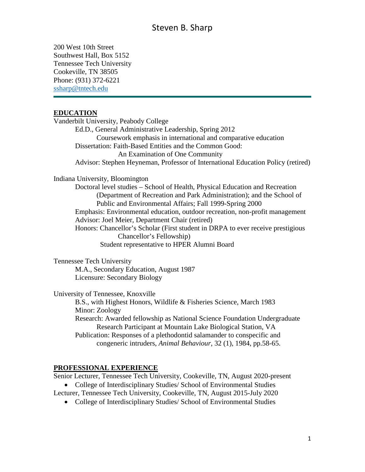200 West 10th Street Southwest Hall, Box 5152 Tennessee Tech University Cookeville, TN 38505 Phone: (931) 372-6221 [ssharp@tntech.edu](mailto:ssharp@tntech.edu)

### **EDUCATION**

Vanderbilt University, Peabody College Ed.D., General Administrative Leadership, Spring 2012 Coursework emphasis in international and comparative education Dissertation: Faith-Based Entities and the Common Good: An Examination of One Community Advisor: Stephen Heyneman, Professor of International Education Policy (retired) Indiana University, Bloomington Doctoral level studies – School of Health, Physical Education and Recreation (Department of Recreation and Park Administration); and the School of Public and Environmental Affairs; Fall 1999-Spring 2000 Emphasis: Environmental education, outdoor recreation, non-profit management Advisor: Joel Meier, Department Chair (retired) Honors: Chancellor's Scholar (First student in DRPA to ever receive prestigious Chancellor's Fellowship)

Student representative to HPER Alumni Board

Tennessee Tech University

M.A., Secondary Education, August 1987 Licensure: Secondary Biology

University of Tennessee, Knoxville

B.S., with Highest Honors, Wildlife & Fisheries Science, March 1983 Minor: Zoology Research: Awarded fellowship as National Science Foundation Undergraduate Research Participant at Mountain Lake Biological Station, VA Publication: Responses of a plethodontid salamander to conspecific and congeneric intruders, *Animal Behaviour*, 32 (1), 1984, pp.58-65.

### **PROFESSIONAL EXPERIENCE**

Senior Lecturer, Tennessee Tech University, Cookeville, TN, August 2020-present

• College of Interdisciplinary Studies/ School of Environmental Studies

Lecturer, Tennessee Tech University, Cookeville, TN, August 2015-July 2020

• College of Interdisciplinary Studies/ School of Environmental Studies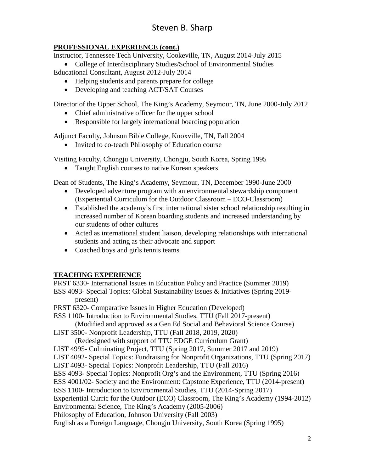# Steven B. Sharp

## **PROFESSIONAL EXPERIENCE (cont.)**

Instructor, Tennessee Tech University, Cookeville, TN, August 2014-July 2015

• College of Interdisciplinary Studies/School of Environmental Studies Educational Consultant, August 2012-July 2014

- Helping students and parents prepare for college
- Developing and teaching ACT/SAT Courses

Director of the Upper School, The King's Academy, Seymour, TN, June 2000-July 2012

- Chief administrative officer for the upper school
- Responsible for largely international boarding population

Adjunct Faculty**,** Johnson Bible College, Knoxville, TN, Fall 2004

• Invited to co-teach Philosophy of Education course

Visiting Faculty, Chongju University, Chongju, South Korea, Spring 1995

• Taught English courses to native Korean speakers

Dean of Students, The King's Academy, Seymour, TN, December 1990-June 2000

- Developed adventure program with an environmental stewardship component (Experiential Curriculum for the Outdoor Classroom – ECO-Classroom)
- Established the academy's first international sister school relationship resulting in increased number of Korean boarding students and increased understanding by our students of other cultures
- Acted as international student liaison, developing relationships with international students and acting as their advocate and support
- Coached boys and girls tennis teams

## **TEACHING EXPERIENCE**

PRST 6330- International Issues in Education Policy and Practice (Summer 2019) ESS 4093- Special Topics: Global Sustainability Issues & Initiatives (Spring 2019 present) PRST 6320- Comparative Issues in Higher Education (Developed) ESS 1100- Introduction to Environmental Studies, TTU (Fall 2017-present) (Modified and approved as a Gen Ed Social and Behavioral Science Course) LIST 3500- Nonprofit Leadership, TTU (Fall 2018, 2019, 2020) (Redesigned with support of TTU EDGE Curriculum Grant) LIST 4995- Culminating Project, TTU (Spring 2017, Summer 2017 and 2019) LIST 4092- Special Topics: Fundraising for Nonprofit Organizations, TTU (Spring 2017) LIST 4093- Special Topics: Nonprofit Leadership, TTU (Fall 2016) ESS 4093- Special Topics: Nonprofit Org's and the Environment, TTU (Spring 2016) ESS 4001/02- Society and the Environment: Capstone Experience, TTU (2014-present) ESS 1100- Introduction to Environmental Studies, TTU (2014-Spring 2017) Experiential Curric for the Outdoor (ECO) Classroom, The King's Academy (1994-2012) Environmental Science, The King's Academy (2005-2006) Philosophy of Education, Johnson University (Fall 2003) English as a Foreign Language, Chongju University, South Korea (Spring 1995)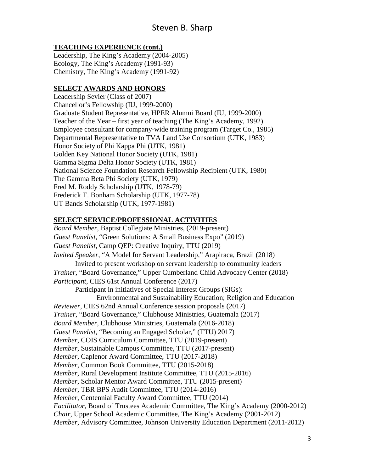### **TEACHING EXPERIENCE (cont.)**

Leadership, The King's Academy (2004-2005) Ecology, The King's Academy (1991-93) Chemistry, The King's Academy (1991-92)

### **SELECT AWARDS AND HONORS**

Leadership Sevier (Class of 2007) Chancellor's Fellowship (IU, 1999-2000) Graduate Student Representative, HPER Alumni Board (IU, 1999-2000) Teacher of the Year – first year of teaching (The King's Academy, 1992) Employee consultant for company-wide training program (Target Co., 1985) Departmental Representative to TVA Land Use Consortium (UTK, 1983) Honor Society of Phi Kappa Phi (UTK, 1981) Golden Key National Honor Society (UTK, 1981) Gamma Sigma Delta Honor Society (UTK, 1981) National Science Foundation Research Fellowship Recipient (UTK, 1980) The Gamma Beta Phi Society (UTK, 1979) Fred M. Roddy Scholarship (UTK, 1978-79) Frederick T. Bonham Scholarship (UTK, 1977-78) UT Bands Scholarship (UTK, 1977-1981)

### **SELECT SERVICE/PROFESSIONAL ACTIVITIES**

*Board Member*, Baptist Collegiate Ministries, (2019-present) *Guest Panelist*, "Green Solutions: A Small Business Expo" (2019) *Guest Panelist*, Camp QEP: Creative Inquiry, TTU (2019) *Invited Speaker*, "A Model for Servant Leadership," Arapiraca, Brazil (2018) Invited to present workshop on servant leadership to community leaders *Trainer*, "Board Governance," Upper Cumberland Child Advocacy Center (2018) *Participant*, CIES 61st Annual Conference (2017) Participant in initiatives of Special Interest Groups (SIGs): Environmental and Sustainability Education; Religion and Education *Reviewer*, CIES 62nd Annual Conference session proposals (2017) *Trainer*, "Board Governance," Clubhouse Ministries, Guatemala (2017) *Board Member*, Clubhouse Ministries, Guatemala (2016-2018) *Guest Panelist*, "Becoming an Engaged Scholar," (TTU) 2017) *Member*, COIS Curriculum Committee, TTU (2019-present) *Member*, Sustainable Campus Committee, TTU (2017-present) *Member*, Caplenor Award Committee, TTU (2017-2018) *Member*, Common Book Committee, TTU (2015-2018) *Member*, Rural Development Institute Committee, TTU (2015-2016) *Member*, Scholar Mentor Award Committee, TTU (2015-present) *Member*, TBR BPS Audit Committee, TTU (2014-2016) *Member*, Centennial Faculty Award Committee, TTU (2014) *Facilitator*, Board of Trustees Academic Committee, The King's Academy (2000-2012) *Chair*, Upper School Academic Committee, The King's Academy (2001-2012) *Member*, Advisory Committee, Johnson University Education Department (2011-2012)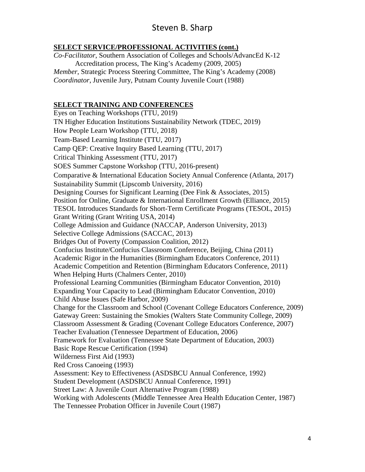## Steven B. Sharp

### **SELECT SERVICE/PROFESSIONAL ACTIVITIES (cont.)**

*Co-Facilitator*, Southern Association of Colleges and Schools/AdvancEd K-12 Accreditation process, The King's Academy (2009, 2005) *Member*, Strategic Process Steering Committee, The King's Academy (2008) *Coordinator*, Juvenile Jury, Putnam County Juvenile Court (1988)

### **SELECT TRAINING AND CONFERENCES**

Eyes on Teaching Workshops (TTU, 2019) TN Higher Education Institutions Sustainability Network (TDEC, 2019) How People Learn Workshop (TTU, 2018) Team-Based Learning Institute (TTU, 2017) Camp QEP: Creative Inquiry Based Learning (TTU, 2017) Critical Thinking Assessment (TTU, 2017) SOES Summer Capstone Workshop (TTU, 2016-present) Comparative & International Education Society Annual Conference (Atlanta, 2017) Sustainability Summit (Lipscomb University, 2016) Designing Courses for Significant Learning (Dee Fink & Associates, 2015) Position for Online, Graduate & International Enrollment Growth (Elliance, 2015) TESOL Introduces Standards for Short-Term Certificate Programs (TESOL, 2015) Grant Writing (Grant Writing USA, 2014) College Admission and Guidance (NACCAP, Anderson University, 2013) Selective College Admissions (SACCAC, 2013) Bridges Out of Poverty (Compassion Coalition, 2012) Confucius Institute/Confucius Classroom Conference, Beijing, China (2011) Academic Rigor in the Humanities (Birmingham Educators Conference, 2011) Academic Competition and Retention (Birmingham Educators Conference, 2011) When Helping Hurts (Chalmers Center, 2010) Professional Learning Communities (Birmingham Educator Convention, 2010) Expanding Your Capacity to Lead (Birmingham Educator Convention, 2010) Child Abuse Issues (Safe Harbor, 2009) Change for the Classroom and School (Covenant College Educators Conference, 2009) Gateway Green: Sustaining the Smokies (Walters State Community College, 2009) Classroom Assessment & Grading (Covenant College Educators Conference, 2007) Teacher Evaluation (Tennessee Department of Education, 2006) Framework for Evaluation (Tennessee State Department of Education, 2003) Basic Rope Rescue Certification (1994) Wilderness First Aid (1993) Red Cross Canoeing (1993) Assessment: Key to Effectiveness (ASDSBCU Annual Conference, 1992) Student Development (ASDSBCU Annual Conference, 1991) Street Law: A Juvenile Court Alternative Program (1988) Working with Adolescents (Middle Tennessee Area Health Education Center, 1987) The Tennessee Probation Officer in Juvenile Court (1987)